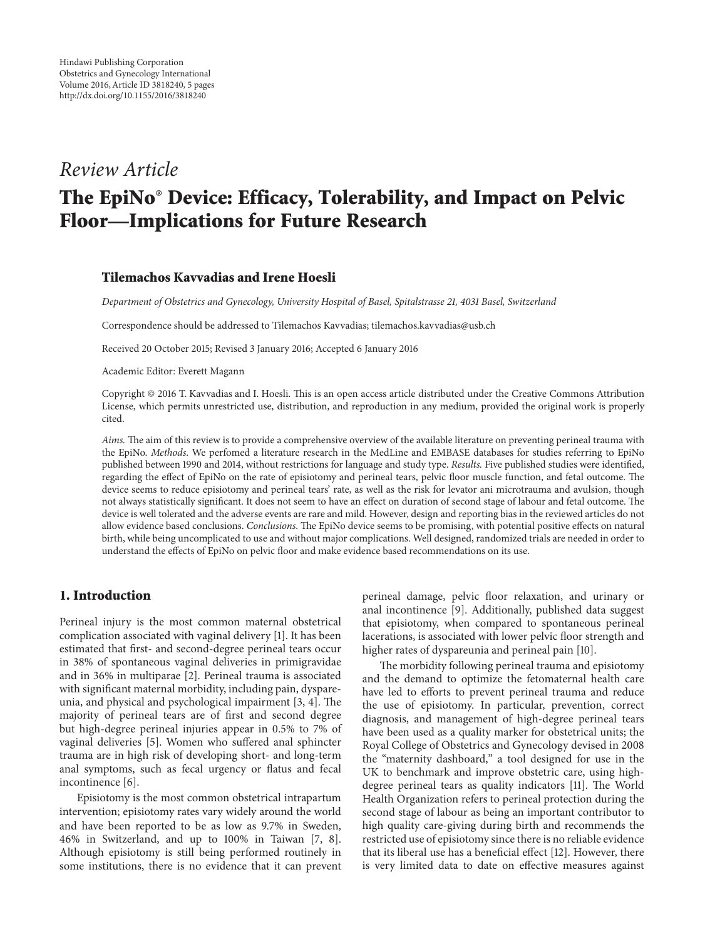# *Review Article*

## **The EpiNo**" **Device: Efficacy, Tolerability, and Impact on Pelvic Floor—Implications for Future Research**

#### **Tilemachos Kavvadias and Irene Hoesli**

*Department of Obstetrics and Gynecology, University Hospital of Basel, Spitalstrasse 21, 4031 Basel, Switzerland*

Correspondence should be addressed to Tilemachos Kavvadias; tilemachos.kavvadias@usb.ch

Received 20 October 2015; Revised 3 January 2016; Accepted 6 January 2016

Academic Editor: Everett Magann

Copyright © 2016 T. Kavvadias and I. Hoesli. This is an open access article distributed under the Creative Commons Attribution License, which permits unrestricted use, distribution, and reproduction in any medium, provided the original work is properly cited.

*Aims.* The aim of this review is to provide a comprehensive overview of the available literature on preventing perineal trauma with the EpiNo. *Methods*. We perfomed a literature research in the MedLine and EMBASE databases for studies referring to EpiNo published between 1990 and 2014, without restrictions for language and study type. *Results.* Five published studies were identified, regarding the effect of EpiNo on the rate of episiotomy and perineal tears, pelvic floor muscle function, and fetal outcome. The device seems to reduce episiotomy and perineal tears' rate, as well as the risk for levator ani microtrauma and avulsion, though not always statistically significant. It does not seem to have an effect on duration of second stage of labour and fetal outcome. The device is well tolerated and the adverse events are rare and mild. However, design and reporting bias in the reviewed articles do not allow evidence based conclusions. *Conclusions*. The EpiNo device seems to be promising, with potential positive effects on natural birth, while being uncomplicated to use and without major complications. Well designed, randomized trials are needed in order to understand the effects of EpiNo on pelvic floor and make evidence based recommendations on its use.

### **1. Introduction**

Perineal injury is the most common maternal obstetrical complication associated with vaginal delivery [1]. It has been estimated that first- and second-degree perineal tears occur in 38% of spontaneous vaginal deliveries in primigravidae and in 36% in multiparae [2]. Perineal trauma is associated with significant maternal morbidity, including pain, dyspareunia, and physical and psychological impairment [3, 4]. The majority of perineal tears are of first and second degree but high-degree perineal injuries appear in 0.5% to 7% of vaginal deliveries [5]. Women who suffered anal sphincter trauma are in high risk of developing short- and long-term anal symptoms, such as fecal urgency or flatus and fecal incontinence [6].

Episiotomy is the most common obstetrical intrapartum intervention; episiotomy rates vary widely around the world and have been reported to be as low as 9.7% in Sweden, 46% in Switzerland, and up to 100% in Taiwan [7, 8]. Although episiotomy is still being performed routinely in some institutions, there is no evidence that it can prevent

perineal damage, pelvic floor relaxation, and urinary or anal incontinence [9]. Additionally, published data suggest that episiotomy, when compared to spontaneous perineal lacerations, is associated with lower pelvic floor strength and higher rates of dyspareunia and perineal pain [10].

The morbidity following perineal trauma and episiotomy and the demand to optimize the fetomaternal health care have led to efforts to prevent perineal trauma and reduce the use of episiotomy. In particular, prevention, correct diagnosis, and management of high-degree perineal tears have been used as a quality marker for obstetrical units; the Royal College of Obstetrics and Gynecology devised in 2008 the "maternity dashboard," a tool designed for use in the UK to benchmark and improve obstetric care, using highdegree perineal tears as quality indicators [11]. The World Health Organization refers to perineal protection during the second stage of labour as being an important contributor to high quality care-giving during birth and recommends the restricted use of episiotomy since there is no reliable evidence that its liberal use has a beneficial effect [12]. However, there is very limited data to date on effective measures against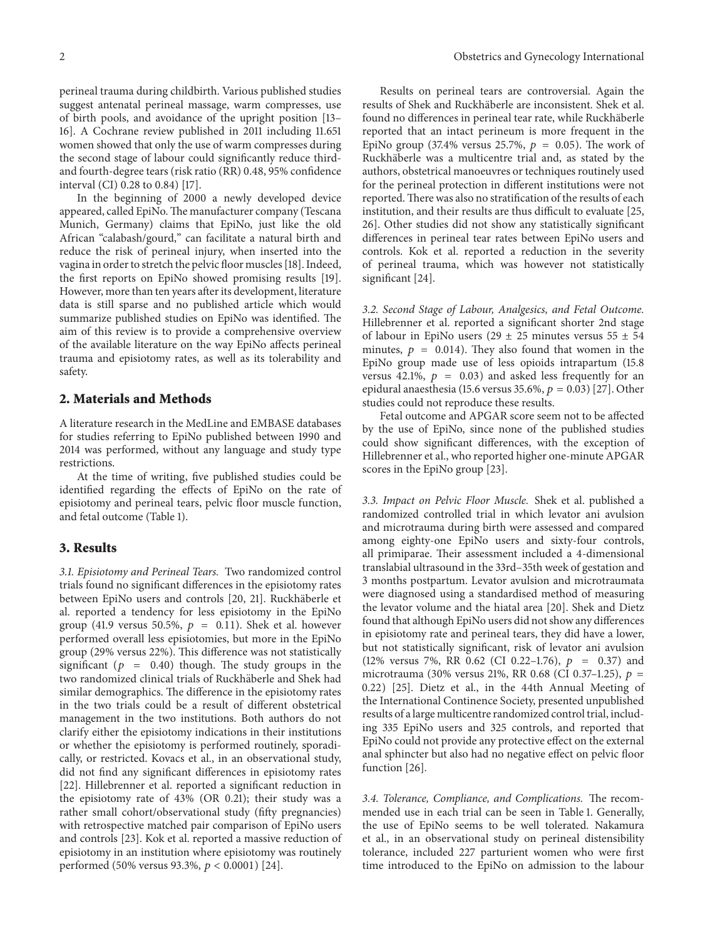perineal trauma during childbirth. Various published studies suggest antenatal perineal massage, warm compresses, use of birth pools, and avoidance of the upright position [13– 16]. A Cochrane review published in 2011 including 11.651 women showed that only the use of warm compresses during the second stage of labour could significantly reduce thirdand fourth-degree tears (risk ratio (RR) 0.48, 95% confidence interval (CI) 0.28 to 0.84) [17].

In the beginning of 2000 a newly developed device appeared, called EpiNo. The manufacturer company (Tescana Munich, Germany) claims that EpiNo, just like the old African "calabash/gourd," can facilitate a natural birth and reduce the risk of perineal injury, when inserted into the vagina in order to stretch the pelvic floor muscles [18]. Indeed, the first reports on EpiNo showed promising results [19]. However, more than ten years after its development, literature data is still sparse and no published article which would summarize published studies on EpiNo was identified. The aim of this review is to provide a comprehensive overview of the available literature on the way EpiNo affects perineal trauma and episiotomy rates, as well as its tolerability and safety.

#### **2. Materials and Methods**

A literature research in the MedLine and EMBASE databases for studies referring to EpiNo published between 1990 and 2014 was performed, without any language and study type restrictions.

At the time of writing, five published studies could be identified regarding the effects of EpiNo on the rate of episiotomy and perineal tears, pelvic floor muscle function, and fetal outcome (Table 1).

#### **3. Results**

*3.1. Episiotomy and Perineal Tears.* Two randomized control trials found no significant differences in the episiotomy rates between EpiNo users and controls [20, 21]. Ruckhäberle et al. reported a tendency for less episiotomy in the EpiNo group (41.9 versus 50.5%,  $p = 0.11$ ). Shek et al. however performed overall less episiotomies, but more in the EpiNo group (29% versus 22%). This difference was not statistically significant ( $p = 0.40$ ) though. The study groups in the two randomized clinical trials of Ruckhäberle and Shek had similar demographics. The difference in the episiotomy rates in the two trials could be a result of different obstetrical management in the two institutions. Both authors do not clarify either the episiotomy indications in their institutions or whether the episiotomy is performed routinely, sporadically, or restricted. Kovacs et al., in an observational study, did not find any significant differences in episiotomy rates [22]. Hillebrenner et al. reported a significant reduction in the episiotomy rate of 43% (OR 0.21); their study was a rather small cohort/observational study (fifty pregnancies) with retrospective matched pair comparison of EpiNo users and controls [23]. Kok et al. reported a massive reduction of episiotomy in an institution where episiotomy was routinely performed (50% versus 93.3%,  $p < 0.0001$ ) [24].

Results on perineal tears are controversial. Again the results of Shek and Ruckhäberle are inconsistent. Shek et al. found no differences in perineal tear rate, while Ruckhäberle reported that an intact perineum is more frequent in the EpiNo group (37.4% versus 25.7%,  $p = 0.05$ ). The work of Ruckhäberle was a multicentre trial and, as stated by the authors, obstetrical manoeuvres or techniques routinely used for the perineal protection in different institutions were not reported.There was also no stratification of the results of each institution, and their results are thus difficult to evaluate [25, 26]. Other studies did not show any statistically significant differences in perineal tear rates between EpiNo users and controls. Kok et al. reported a reduction in the severity of perineal trauma, which was however not statistically significant [24].

*3.2. Second Stage of Labour, Analgesics, and Fetal Outcome.* Hillebrenner et al. reported a significant shorter 2nd stage of labour in EpiNo users (29  $\pm$  25 minutes versus 55  $\pm$  54 minutes,  $p = 0.014$ ). They also found that women in the EpiNo group made use of less opioids intrapartum (15.8 versus 42.1%,  $p = 0.03$  and asked less frequently for an epidural anaesthesia (15.6 versus 35.6%,  $p = 0.03$ ) [27]. Other studies could not reproduce these results.

Fetal outcome and APGAR score seem not to be affected by the use of EpiNo, since none of the published studies could show significant differences, with the exception of Hillebrenner et al., who reported higher one-minute APGAR scores in the EpiNo group [23].

*3.3. Impact on Pelvic Floor Muscle.* Shek et al. published a randomized controlled trial in which levator ani avulsion and microtrauma during birth were assessed and compared among eighty-one EpiNo users and sixty-four controls, all primiparae. Their assessment included a 4-dimensional translabial ultrasound in the 33rd–35th week of gestation and 3 months postpartum. Levator avulsion and microtraumata were diagnosed using a standardised method of measuring the levator volume and the hiatal area [20]. Shek and Dietz found that although EpiNo users did not show any differences in episiotomy rate and perineal tears, they did have a lower, but not statistically significant, risk of levator ani avulsion (12% versus 7%, RR 0.62 (CI 0.22-1.76),  $p = 0.37$ ) and microtrauma (30% versus 21%, RR 0.68 (CI 0.37-1.25),  $p =$ 0.22) [25]. Dietz et al., in the 44th Annual Meeting of the International Continence Society, presented unpublished results of a large multicentre randomized control trial, including 335 EpiNo users and 325 controls, and reported that EpiNo could not provide any protective effect on the external anal sphincter but also had no negative effect on pelvic floor function [26].

*3.4. Tolerance, Compliance, and Complications.* The recommended use in each trial can be seen in Table 1. Generally, the use of EpiNo seems to be well tolerated. Nakamura et al., in an observational study on perineal distensibility tolerance, included 227 parturient women who were first time introduced to the EpiNo on admission to the labour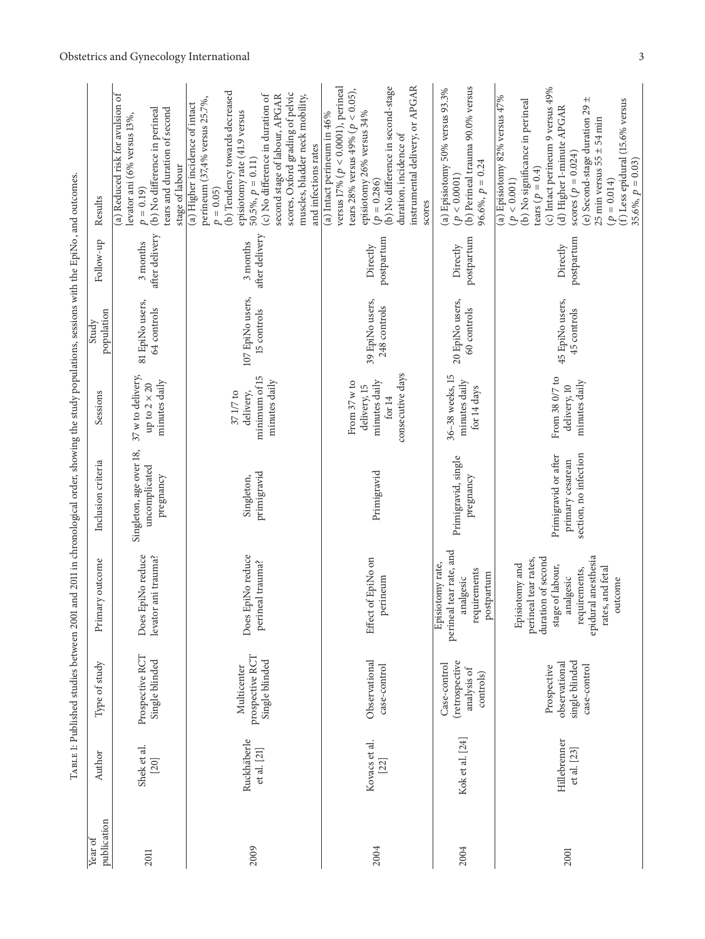|                        |                             |                                                                | TABLE 1: Published studies between 2001 and 2011 in chronological order, showing the study populations, sessions with the EpiNo, and outcomes.                       |                                                                   |                                                                             |                                 |                            |                                                                                                                                                                                                                                                                                                                                                         |
|------------------------|-----------------------------|----------------------------------------------------------------|----------------------------------------------------------------------------------------------------------------------------------------------------------------------|-------------------------------------------------------------------|-----------------------------------------------------------------------------|---------------------------------|----------------------------|---------------------------------------------------------------------------------------------------------------------------------------------------------------------------------------------------------------------------------------------------------------------------------------------------------------------------------------------------------|
| publication<br>Year of | Author                      | Type of study                                                  | Primary outcome                                                                                                                                                      | Inclusion criteria                                                | Sessions                                                                    | population<br>Study             | Follow-up                  | Results                                                                                                                                                                                                                                                                                                                                                 |
| 2011                   | Shek et al.<br>$[20]$       | Prospective RCT<br>Single blinded                              | Does EpiNo reduce<br>levator ani trauma?                                                                                                                             | Singleton, age over 18,<br>uncomplicated<br>pregnancy             | 37 w to delivery,<br>minutes daily<br>up to $2\times 20$                    | 81 EpiNo users,<br>64 controls  | after delivery<br>3 months | (a) Reduced risk for avulsion of<br>tears and duration of second<br>(b) No difference in perineal<br>levator ani (6% versus 13%,<br>stage of labour<br>$p = 0.19$                                                                                                                                                                                       |
| 2009                   | Ruckhäberle<br>et al. [21]  | prospective RCT<br>Single blinded<br>Multicenter               | EpiNo reduce<br>perineal trauma?<br>Does!                                                                                                                            | primigravid<br>Singleton,                                         | minimum of 15<br>minutes daily<br>delivery,<br>37 1/7 to                    | 107 EpiNo users,<br>15 controls | after delivery<br>3 months | (b) Tendency towards decreased<br>scores, Oxford grading of pelvic<br>(c) No difference in duration of<br>muscles, bladder neck mobility,<br>second stage of labour, APGAR<br>perineum (37,4% versus 25.7%,<br>(a) Higher incidence of intact<br>episiotomy rate (41.9 versus<br>and infections rates<br>$50.5\%$ , $p = 0.11$ )<br>$p = 0.05$          |
| 2004                   | Kovacs et al.<br>$[22]$     | Observational<br>case-control                                  | Effect of EpiNo on<br>perineum                                                                                                                                       | Primigravid                                                       | consecutive days<br>minutes daily<br>From 37 w to<br>delivery, 15<br>for 14 | 39 EpiNo users,<br>248 controls | postpartum<br>Directly     | (b) No difference in second-stage<br>instrumental delivery, or APGAR<br>versus $17\%$ ( $p < 0.0001$ ), perineal<br>tears 28% versus 49% ( $p < 0.05$ ),<br>episiotomy 26% versus 34%<br>(a) Intact perineum in 46%<br>duration, incidence of<br>$(p = 0.286)$<br>scores                                                                                |
| 2004                   | Kok et al. [24]             | (retrospective<br>Case-control<br>analysis of<br>controls)     | perineal tear rate, and<br>Episiotomy rate,<br>requirements<br>postpartum<br>analgesic                                                                               | Primigravid, single<br>pregnancy                                  | 36-38 weeks, 15<br>minutes daily<br>for 14 days                             | 20 EpiNo users,<br>60 controls  | postpartum<br>Directly     | (b) Perineal trauma 90.0% versus<br>(a) Episiotomy 50% versus 93.3%<br>$96.6\%$ , $p = 0.24$<br>(p < 0.0001)                                                                                                                                                                                                                                            |
| 2001                   | Hillebrenner<br>et al. [23] | single blinded<br>observational<br>case-control<br>Prospective | epidural anesthesia<br>duration of second<br>perineal tear rates,<br>Episiotomy and<br>stage of labour,<br>rates, and fetal<br>requirements,<br>analgesic<br>outcome | section, no infection<br>Primigravid or after<br>primary cesarean | From 38 0/7 to<br>minutes daily<br>delivery, 10                             | 45 EpiNo users,<br>45 controls  | postpartum<br>Directly     | (c) Intact perineum 9 versus 49%<br>(a) Episiotomy 82% versus 47%<br>(e) Second-stage duration 29 $\pm$<br>(b) No significance in perineal<br>(f) Less epidural (15.6% versus<br>(d) Higher 1-minute APGAR<br>$25$ min versus $55 \pm 54$ min<br>scores ( $p = 0.024$ )<br>$35.6\%$ , $p = 0.03$ )<br>tears $(p = 0.4)$<br>$(p = 0.014)$<br>(p < 0.001) |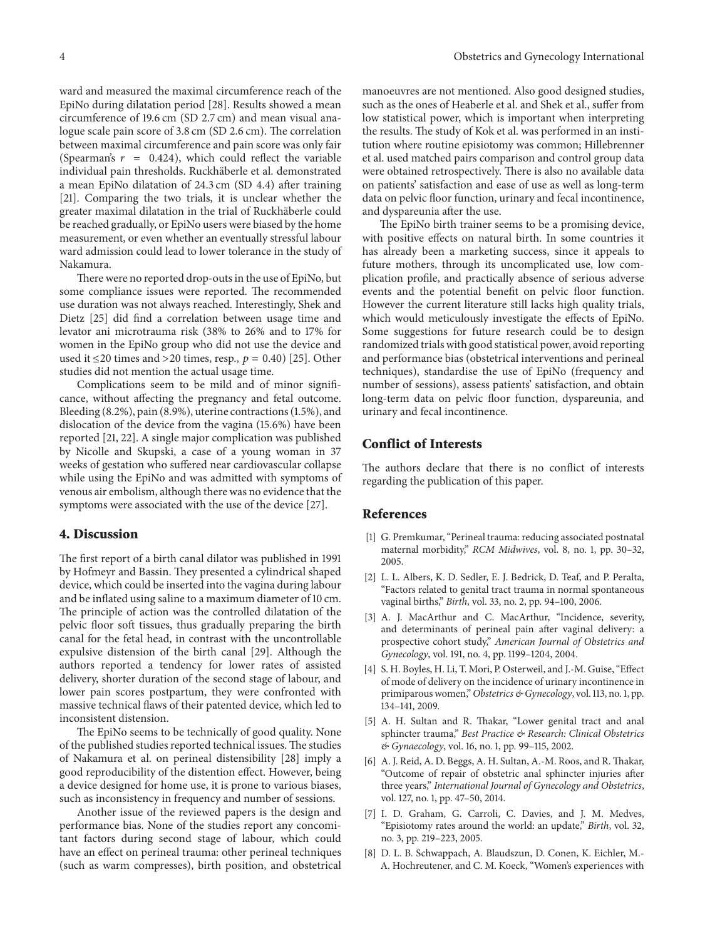ward and measured the maximal circumference reach of the EpiNo during dilatation period [28]. Results showed a mean circumference of 19.6 cm (SD 2.7 cm) and mean visual analogue scale pain score of 3.8 cm (SD 2.6 cm). The correlation between maximal circumference and pain score was only fair (Spearman's  $r = 0.424$ ), which could reflect the variable individual pain thresholds. Ruckhäberle et al. demonstrated a mean EpiNo dilatation of 24.3 cm (SD 4.4) after training [21]. Comparing the two trials, it is unclear whether the greater maximal dilatation in the trial of Ruckhäberle could be reached gradually, or EpiNo users were biased by the home measurement, or even whether an eventually stressful labour ward admission could lead to lower tolerance in the study of Nakamura.

There were no reported drop-outs in the use of EpiNo, but some compliance issues were reported. The recommended use duration was not always reached. Interestingly, Shek and Dietz [25] did find a correlation between usage time and levator ani microtrauma risk (38% to 26% and to 17% for women in the EpiNo group who did not use the device and used it ≤20 times and >20 times, resp.,  $p = 0.40$ ) [25]. Other studies did not mention the actual usage time.

Complications seem to be mild and of minor significance, without affecting the pregnancy and fetal outcome. Bleeding (8.2%), pain (8.9%), uterine contractions (1.5%), and dislocation of the device from the vagina (15.6%) have been reported [21, 22]. A single major complication was published by Nicolle and Skupski, a case of a young woman in 37 weeks of gestation who suffered near cardiovascular collapse while using the EpiNo and was admitted with symptoms of venous air embolism, although there was no evidence that the symptoms were associated with the use of the device [27].

#### **4. Discussion**

The first report of a birth canal dilator was published in 1991 by Hofmeyr and Bassin. They presented a cylindrical shaped device, which could be inserted into the vagina during labour and be inflated using saline to a maximum diameter of 10 cm. The principle of action was the controlled dilatation of the pelvic floor soft tissues, thus gradually preparing the birth canal for the fetal head, in contrast with the uncontrollable expulsive distension of the birth canal [29]. Although the authors reported a tendency for lower rates of assisted delivery, shorter duration of the second stage of labour, and lower pain scores postpartum, they were confronted with massive technical flaws of their patented device, which led to inconsistent distension.

The EpiNo seems to be technically of good quality. None of the published studies reported technical issues. The studies of Nakamura et al. on perineal distensibility [28] imply a good reproducibility of the distention effect. However, being a device designed for home use, it is prone to various biases, such as inconsistency in frequency and number of sessions.

Another issue of the reviewed papers is the design and performance bias. None of the studies report any concomitant factors during second stage of labour, which could have an effect on perineal trauma: other perineal techniques (such as warm compresses), birth position, and obstetrical manoeuvres are not mentioned. Also good designed studies, such as the ones of Heaberle et al. and Shek et al., suffer from low statistical power, which is important when interpreting the results. The study of Kok et al. was performed in an institution where routine episiotomy was common; Hillebrenner et al. used matched pairs comparison and control group data were obtained retrospectively. There is also no available data on patients' satisfaction and ease of use as well as long-term data on pelvic floor function, urinary and fecal incontinence, and dyspareunia after the use.

The EpiNo birth trainer seems to be a promising device, with positive effects on natural birth. In some countries it has already been a marketing success, since it appeals to future mothers, through its uncomplicated use, low complication profile, and practically absence of serious adverse events and the potential benefit on pelvic floor function. However the current literature still lacks high quality trials, which would meticulously investigate the effects of EpiNo. Some suggestions for future research could be to design randomized trials with good statistical power, avoid reporting and performance bias (obstetrical interventions and perineal techniques), standardise the use of EpiNo (frequency and number of sessions), assess patients' satisfaction, and obtain long-term data on pelvic floor function, dyspareunia, and urinary and fecal incontinence.

#### **Conflict of Interests**

The authors declare that there is no conflict of interests regarding the publication of this paper.

#### **References**

- [1] G. Premkumar, "Perineal trauma: reducing associated postnatal maternal morbidity," *RCM Midwives*, vol. 8, no. 1, pp. 30–32, 2005.
- [2] L. L. Albers, K. D. Sedler, E. J. Bedrick, D. Teaf, and P. Peralta, "Factors related to genital tract trauma in normal spontaneous vaginal births," *Birth*, vol. 33, no. 2, pp. 94–100, 2006.
- [3] A. J. MacArthur and C. MacArthur, "Incidence, severity, and determinants of perineal pain after vaginal delivery: a prospective cohort study," *American Journal of Obstetrics and Gynecology*, vol. 191, no. 4, pp. 1199–1204, 2004.
- [4] S. H. Boyles, H. Li, T. Mori, P. Osterweil, and J.-M. Guise, "Effect of mode of delivery on the incidence of urinary incontinence in primiparous women," *Obstetrics & Gynecology*, vol. 113, no. 1, pp. 134–141, 2009.
- [5] A. H. Sultan and R. Thakar, "Lower genital tract and anal sphincter trauma," *Best Practice & Research: Clinical Obstetrics & Gynaecology*, vol. 16, no. 1, pp. 99–115, 2002.
- [6] A. J. Reid, A. D. Beggs, A. H. Sultan, A.-M. Roos, and R. Thakar, "Outcome of repair of obstetric anal sphincter injuries after three years," *International Journal of Gynecology and Obstetrics*, vol. 127, no. 1, pp. 47–50, 2014.
- [7] I. D. Graham, G. Carroli, C. Davies, and J. M. Medves, "Episiotomy rates around the world: an update," *Birth*, vol. 32, no. 3, pp. 219–223, 2005.
- [8] D. L. B. Schwappach, A. Blaudszun, D. Conen, K. Eichler, M.- A. Hochreutener, and C. M. Koeck, "Women's experiences with